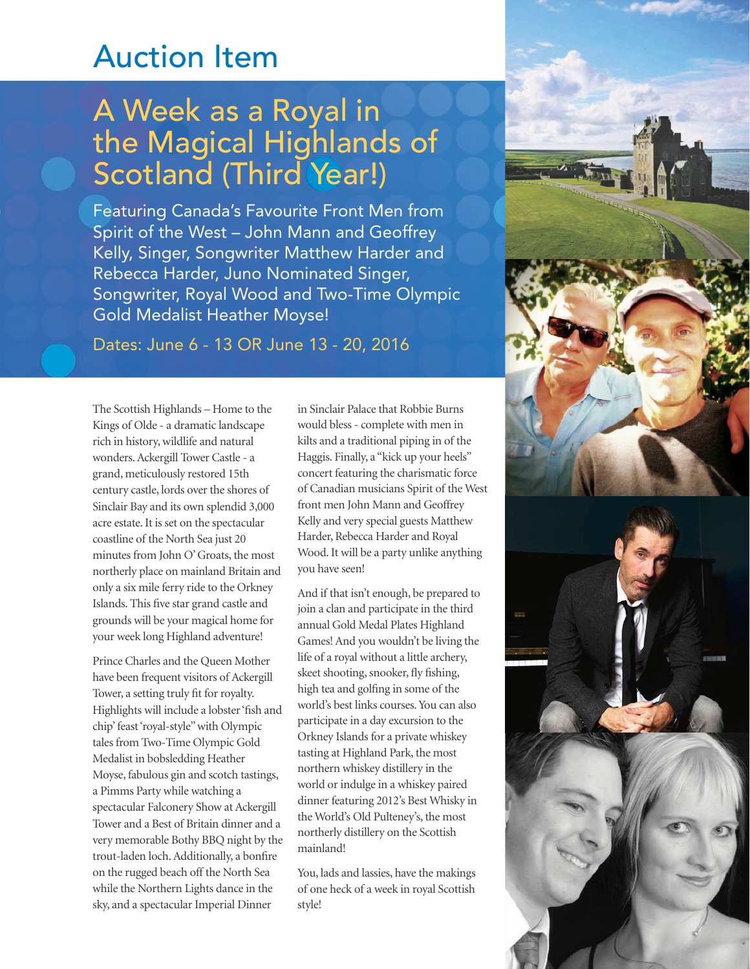## Auction Item

## A Week as a Royal in the Magical Highlands of Scotland (Third Year!)

Featuring Canada's Favourite Front Men from Spirit of the West – John Mann and Geoffrey Kelly, Singer, Songwriter Matthew Harder and Rebecca Harder, Juno Nominated Singer, Songwriter, Royal Wood and Two-Time Olympic Gold Medalist Heather Moyse!

Dates: June 6 - 13 OR June 13 - 20, 2016

The Scottish Highlands – Home to the Kings of Olde - a dramatic landscape rich in history, wildlife and natural wonders. Ackergill Tower Castle - a grand, meticulously restored 15th century castle, lords over the shores of Sinclair Bay and its own splendid 3,000 acre estate. It is set on the spectacular coastline of the North Sea just 20 minutes from John O' Groats, the most northerly place on mainland Britain and only a six mile ferry ride to the Orkney Islands. This five star grand castle and grounds will be your magical home for your week long Highland adventure!

Prince Charles and the Queen Mother have been frequent visitors of Ackergill Tower, a setting truly fit for royalty. Highlights will include a lobster 'fish and chip' feast 'royal-style" with Olympic tales from Two-Time Olympic Gold Medalist in bobsledding Heather Moyse, fabulous gin and scotch tastings, a Pimms Party while watching a spectacular Falconery Show at Ackergill Tower and a Best of Britain dinner and a very memorable Bothy BBQ night by the trout-laden loch. Additionally, a bonfire on the rugged beach off the North Sea while the Northern Lights dance in the sky, and a spectacular Imperial Dinner

in Sinclair Palace that Robbie Burns would bless - complete with men in kilts and a traditional piping in of the Haggis. Finally, a "kick up your heels" concert featuring the charismatic force of Canadian musicians Spirit of the West front men John Mann and Geoffrey Kelly and very special guests Matthew Harder, Rebecca Harder and Royal Wood. It will be a party unlike anything you have seen!

And if that isn't enough, be prepared to join a clan and participate in the third annual Gold Medal Plates Highland Games! And you wouldn't be living the life of a royal without a little archery, skeet shooting, snooker, fly fishing, high tea and golfing in some of the world's best links courses. You can also participate in a day excursion to the Orkney Islands for a private whiskey tasting at Highland Park, the most northern whiskey distillery in the world or indulge in a whiskey paired dinner featuring 2012's Best Whisky in the World's Old Pulteney's, the most northerly distillery on the Scottish mainland!

You, lads and lassies, have the makings of one heck of a week in royal Scottish style!